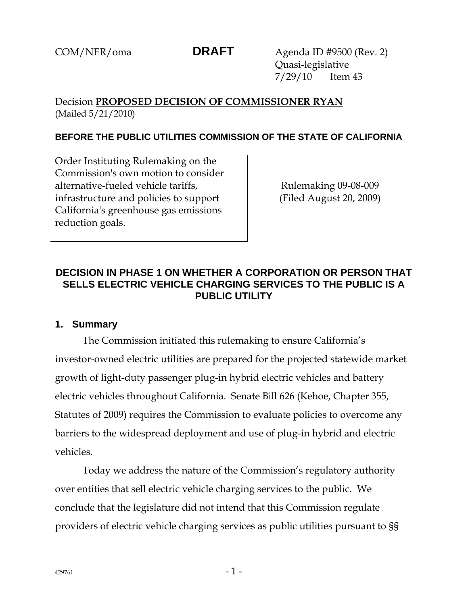COM/NER/oma **DRAFT** Agenda ID #9500 (Rev. 2) Quasi-legislative 7/29/10 Item 43

# Decision **PROPOSED DECISION OF COMMISSIONER RYAN** (Mailed 5/21/2010)

## **BEFORE THE PUBLIC UTILITIES COMMISSION OF THE STATE OF CALIFORNIA**

Order Instituting Rulemaking on the Commission's own motion to consider alternative-fueled vehicle tariffs, infrastructure and policies to support California's greenhouse gas emissions reduction goals.

Rulemaking 09-08-009 (Filed August 20, 2009)

# **DECISION IN PHASE 1 ON WHETHER A CORPORATION OR PERSON THAT SELLS ELECTRIC VEHICLE CHARGING SERVICES TO THE PUBLIC IS A PUBLIC UTILITY**

### **1. Summary**

The Commission initiated this rulemaking to ensure California's investor-owned electric utilities are prepared for the projected statewide market growth of light-duty passenger plug-in hybrid electric vehicles and battery electric vehicles throughout California. Senate Bill 626 (Kehoe, Chapter 355, Statutes of 2009) requires the Commission to evaluate policies to overcome any barriers to the widespread deployment and use of plug-in hybrid and electric vehicles.

Today we address the nature of the Commission's regulatory authority over entities that sell electric vehicle charging services to the public. We conclude that the legislature did not intend that this Commission regulate providers of electric vehicle charging services as public utilities pursuant to §§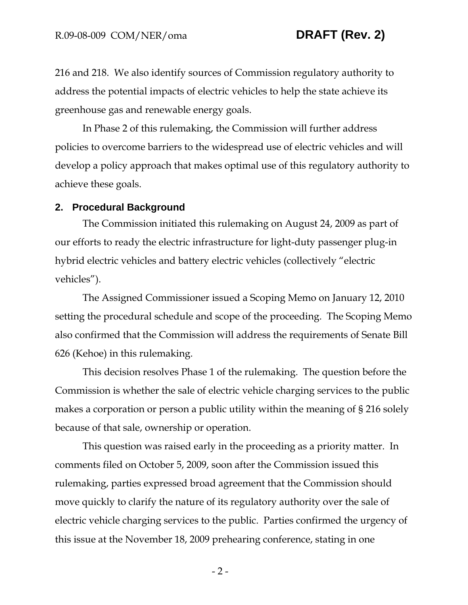216 and 218. We also identify sources of Commission regulatory authority to address the potential impacts of electric vehicles to help the state achieve its greenhouse gas and renewable energy goals.

In Phase 2 of this rulemaking, the Commission will further address policies to overcome barriers to the widespread use of electric vehicles and will develop a policy approach that makes optimal use of this regulatory authority to achieve these goals.

### **2. Procedural Background**

The Commission initiated this rulemaking on August 24, 2009 as part of our efforts to ready the electric infrastructure for light-duty passenger plug-in hybrid electric vehicles and battery electric vehicles (collectively "electric vehicles").

The Assigned Commissioner issued a Scoping Memo on January 12, 2010 setting the procedural schedule and scope of the proceeding. The Scoping Memo also confirmed that the Commission will address the requirements of Senate Bill 626 (Kehoe) in this rulemaking.

This decision resolves Phase 1 of the rulemaking. The question before the Commission is whether the sale of electric vehicle charging services to the public makes a corporation or person a public utility within the meaning of § 216 solely because of that sale, ownership or operation.

This question was raised early in the proceeding as a priority matter. In comments filed on October 5, 2009, soon after the Commission issued this rulemaking, parties expressed broad agreement that the Commission should move quickly to clarify the nature of its regulatory authority over the sale of electric vehicle charging services to the public. Parties confirmed the urgency of this issue at the November 18, 2009 prehearing conference, stating in one

 $-2-$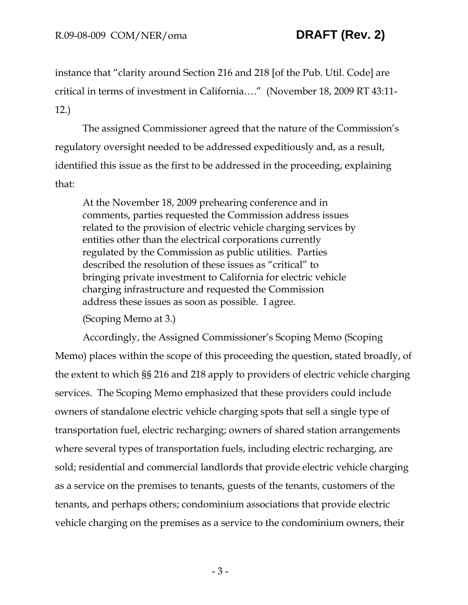instance that "clarity around Section 216 and 218 [of the Pub. Util. Code] are critical in terms of investment in California…." (November 18, 2009 RT 43:11- 12.)

The assigned Commissioner agreed that the nature of the Commission's regulatory oversight needed to be addressed expeditiously and, as a result, identified this issue as the first to be addressed in the proceeding, explaining that:

At the November 18, 2009 prehearing conference and in comments, parties requested the Commission address issues related to the provision of electric vehicle charging services by entities other than the electrical corporations currently regulated by the Commission as public utilities. Parties described the resolution of these issues as "critical" to bringing private investment to California for electric vehicle charging infrastructure and requested the Commission address these issues as soon as possible. I agree.

(Scoping Memo at 3.)

Accordingly, the Assigned Commissioner's Scoping Memo (Scoping Memo) places within the scope of this proceeding the question, stated broadly, of the extent to which §§ 216 and 218 apply to providers of electric vehicle charging services. The Scoping Memo emphasized that these providers could include owners of standalone electric vehicle charging spots that sell a single type of transportation fuel, electric recharging; owners of shared station arrangements where several types of transportation fuels, including electric recharging, are sold; residential and commercial landlords that provide electric vehicle charging as a service on the premises to tenants, guests of the tenants, customers of the tenants, and perhaps others; condominium associations that provide electric vehicle charging on the premises as a service to the condominium owners, their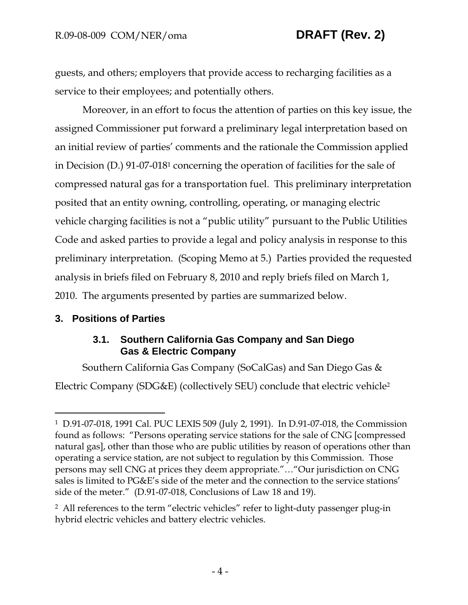guests, and others; employers that provide access to recharging facilities as a service to their employees; and potentially others.

Moreover, in an effort to focus the attention of parties on this key issue, the assigned Commissioner put forward a preliminary legal interpretation based on an initial review of parties' comments and the rationale the Commission applied in Decision (D.) 91-07-0181 concerning the operation of facilities for the sale of compressed natural gas for a transportation fuel. This preliminary interpretation posited that an entity owning, controlling, operating, or managing electric vehicle charging facilities is not a "public utility" pursuant to the Public Utilities Code and asked parties to provide a legal and policy analysis in response to this preliminary interpretation. (Scoping Memo at 5.) Parties provided the requested analysis in briefs filed on February 8, 2010 and reply briefs filed on March 1, 2010. The arguments presented by parties are summarized below.

# **3. Positions of Parties**

 $\overline{a}$ 

# **3.1. Southern California Gas Company and San Diego Gas & Electric Company**

Southern California Gas Company (SoCalGas) and San Diego Gas & Electric Company (SDG&E) (collectively SEU) conclude that electric vehicle2

<sup>1</sup> D.91-07-018, 1991 Cal. PUC LEXIS 509 (July 2, 1991). In D.91-07-018, the Commission found as follows: "Persons operating service stations for the sale of CNG [compressed natural gas], other than those who are public utilities by reason of operations other than operating a service station, are not subject to regulation by this Commission. Those persons may sell CNG at prices they deem appropriate."…"Our jurisdiction on CNG sales is limited to PG&E's side of the meter and the connection to the service stations' side of the meter." (D.91-07-018, Conclusions of Law 18 and 19).

<sup>2</sup> All references to the term "electric vehicles" refer to light-duty passenger plug-in hybrid electric vehicles and battery electric vehicles.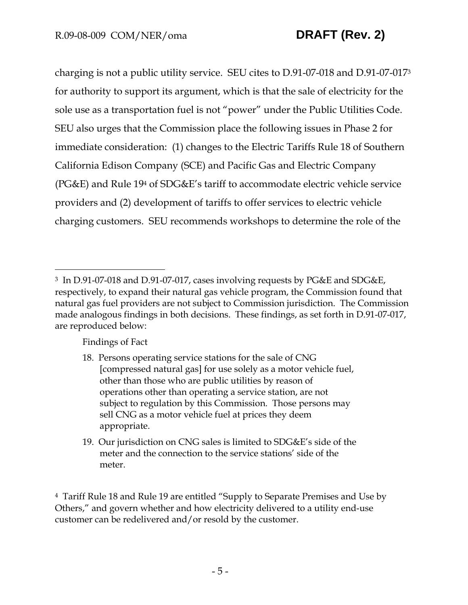charging is not a public utility service. SEU cites to D.91-07-018 and D.91-07-0173 for authority to support its argument, which is that the sale of electricity for the sole use as a transportation fuel is not "power" under the Public Utilities Code. SEU also urges that the Commission place the following issues in Phase 2 for immediate consideration: (1) changes to the Electric Tariffs Rule 18 of Southern California Edison Company (SCE) and Pacific Gas and Electric Company (PG&E) and Rule 194 of SDG&E's tariff to accommodate electric vehicle service providers and (2) development of tariffs to offer services to electric vehicle charging customers. SEU recommends workshops to determine the role of the

Findings of Fact

-

- 18. Persons operating service stations for the sale of CNG [compressed natural gas] for use solely as a motor vehicle fuel, other than those who are public utilities by reason of operations other than operating a service station, are not subject to regulation by this Commission. Those persons may sell CNG as a motor vehicle fuel at prices they deem appropriate.
- 19. Our jurisdiction on CNG sales is limited to SDG&E's side of the meter and the connection to the service stations' side of the meter.

4 Tariff Rule 18 and Rule 19 are entitled "Supply to Separate Premises and Use by Others," and govern whether and how electricity delivered to a utility end-use customer can be redelivered and/or resold by the customer.

<sup>3</sup> In D.91-07-018 and D.91-07-017, cases involving requests by PG&E and SDG&E, respectively, to expand their natural gas vehicle program, the Commission found that natural gas fuel providers are not subject to Commission jurisdiction. The Commission made analogous findings in both decisions. These findings, as set forth in D.91-07-017, are reproduced below: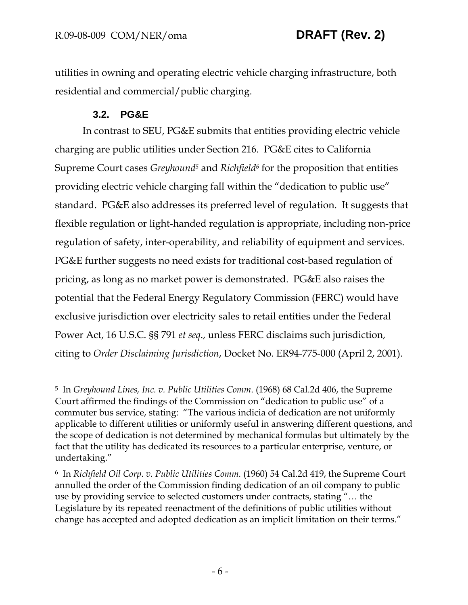utilities in owning and operating electric vehicle charging infrastructure, both residential and commercial/public charging.

# **3.2. PG&E**

 $\overline{a}$ 

In contrast to SEU, PG&E submits that entities providing electric vehicle charging are public utilities under Section 216. PG&E cites to California Supreme Court cases *Greyhound5* and *Richfield6* for the proposition that entities providing electric vehicle charging fall within the "dedication to public use" standard. PG&E also addresses its preferred level of regulation. It suggests that flexible regulation or light-handed regulation is appropriate, including non-price regulation of safety, inter-operability, and reliability of equipment and services. PG&E further suggests no need exists for traditional cost-based regulation of pricing, as long as no market power is demonstrated. PG&E also raises the potential that the Federal Energy Regulatory Commission (FERC) would have exclusive jurisdiction over electricity sales to retail entities under the Federal Power Act, 16 U.S.C. §§ 791 *et seq*., unless FERC disclaims such jurisdiction, citing to *Order Disclaiming Jurisdiction*, Docket No. ER94-775-000 (April 2, 2001).

<sup>5</sup> In *Greyhound Lines, Inc. v. Public Utilities Comm*. (1968) 68 Cal.2d 406, the Supreme Court affirmed the findings of the Commission on "dedication to public use" of a commuter bus service, stating: "The various indicia of dedication are not uniformly applicable to different utilities or uniformly useful in answering different questions, and the scope of dedication is not determined by mechanical formulas but ultimately by the fact that the utility has dedicated its resources to a particular enterprise, venture, or undertaking."

<sup>6</sup> In *Richfield Oil Corp. v. Public Utilities Comm.* (1960) 54 Cal.2d 419, the Supreme Court annulled the order of the Commission finding dedication of an oil company to public use by providing service to selected customers under contracts, stating "… the Legislature by its repeated reenactment of the definitions of public utilities without change has accepted and adopted dedication as an implicit limitation on their terms."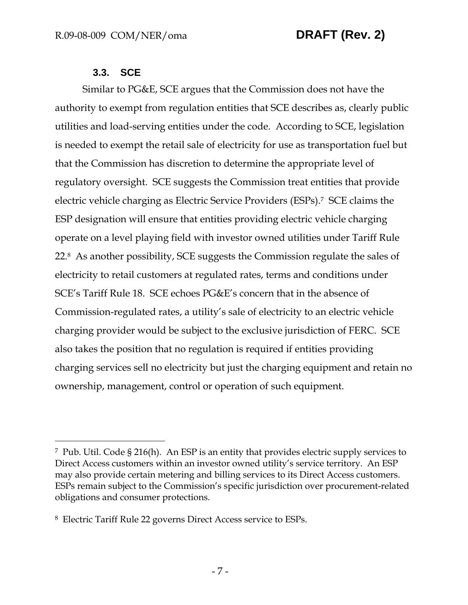## **3.3. SCE**

 $\overline{a}$ 

Similar to PG&E, SCE argues that the Commission does not have the authority to exempt from regulation entities that SCE describes as, clearly public utilities and load-serving entities under the code. According to SCE, legislation is needed to exempt the retail sale of electricity for use as transportation fuel but that the Commission has discretion to determine the appropriate level of regulatory oversight. SCE suggests the Commission treat entities that provide electric vehicle charging as Electric Service Providers (ESPs).7 SCE claims the ESP designation will ensure that entities providing electric vehicle charging operate on a level playing field with investor owned utilities under Tariff Rule 22.8 As another possibility, SCE suggests the Commission regulate the sales of electricity to retail customers at regulated rates, terms and conditions under SCE's Tariff Rule 18. SCE echoes PG&E's concern that in the absence of Commission-regulated rates, a utility's sale of electricity to an electric vehicle charging provider would be subject to the exclusive jurisdiction of FERC. SCE also takes the position that no regulation is required if entities providing charging services sell no electricity but just the charging equipment and retain no ownership, management, control or operation of such equipment.

<sup>7</sup> Pub. Util. Code § 216(h). An ESP is an entity that provides electric supply services to Direct Access customers within an investor owned utility's service territory. An ESP may also provide certain metering and billing services to its Direct Access customers. ESPs remain subject to the Commission's specific jurisdiction over procurement-related obligations and consumer protections.

<sup>8</sup> Electric Tariff Rule 22 governs Direct Access service to ESPs.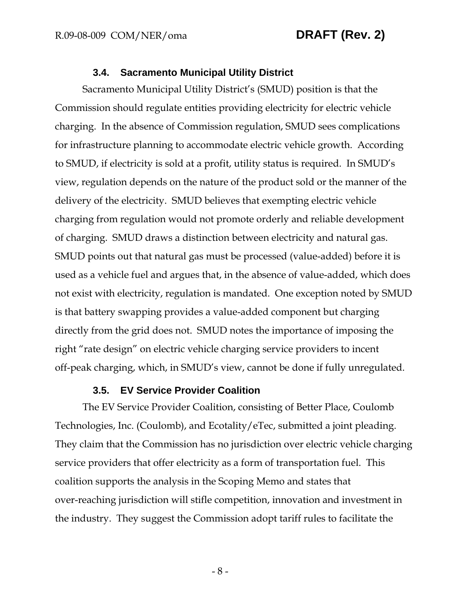### **3.4. Sacramento Municipal Utility District**

Sacramento Municipal Utility District's (SMUD) position is that the Commission should regulate entities providing electricity for electric vehicle charging. In the absence of Commission regulation, SMUD sees complications for infrastructure planning to accommodate electric vehicle growth. According to SMUD, if electricity is sold at a profit, utility status is required. In SMUD's view, regulation depends on the nature of the product sold or the manner of the delivery of the electricity. SMUD believes that exempting electric vehicle charging from regulation would not promote orderly and reliable development of charging. SMUD draws a distinction between electricity and natural gas. SMUD points out that natural gas must be processed (value-added) before it is used as a vehicle fuel and argues that, in the absence of value-added, which does not exist with electricity, regulation is mandated. One exception noted by SMUD is that battery swapping provides a value-added component but charging directly from the grid does not. SMUD notes the importance of imposing the right "rate design" on electric vehicle charging service providers to incent off-peak charging, which, in SMUD's view, cannot be done if fully unregulated.

### **3.5. EV Service Provider Coalition**

The EV Service Provider Coalition, consisting of Better Place, Coulomb Technologies, Inc. (Coulomb), and Ecotality/eTec, submitted a joint pleading. They claim that the Commission has no jurisdiction over electric vehicle charging service providers that offer electricity as a form of transportation fuel. This coalition supports the analysis in the Scoping Memo and states that over-reaching jurisdiction will stifle competition, innovation and investment in the industry. They suggest the Commission adopt tariff rules to facilitate the

- 8 -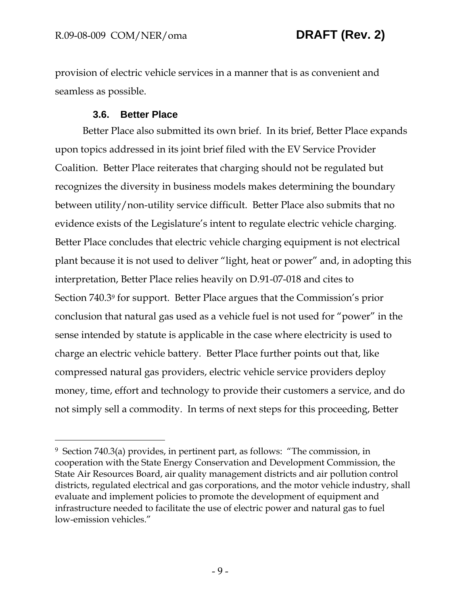provision of electric vehicle services in a manner that is as convenient and seamless as possible.

## **3.6. Better Place**

 $\overline{a}$ 

Better Place also submitted its own brief. In its brief, Better Place expands upon topics addressed in its joint brief filed with the EV Service Provider Coalition. Better Place reiterates that charging should not be regulated but recognizes the diversity in business models makes determining the boundary between utility/non-utility service difficult. Better Place also submits that no evidence exists of the Legislature's intent to regulate electric vehicle charging. Better Place concludes that electric vehicle charging equipment is not electrical plant because it is not used to deliver "light, heat or power" and, in adopting this interpretation, Better Place relies heavily on D.91-07-018 and cites to Section 740.39 for support. Better Place argues that the Commission's prior conclusion that natural gas used as a vehicle fuel is not used for "power" in the sense intended by statute is applicable in the case where electricity is used to charge an electric vehicle battery. Better Place further points out that, like compressed natural gas providers, electric vehicle service providers deploy money, time, effort and technology to provide their customers a service, and do not simply sell a commodity. In terms of next steps for this proceeding, Better

<sup>9</sup> Section 740.3(a) provides, in pertinent part, as follows: "The commission, in cooperation with the State Energy Conservation and Development Commission, the State Air Resources Board, air quality management districts and air pollution control districts, regulated electrical and gas corporations, and the motor vehicle industry, shall evaluate and implement policies to promote the development of equipment and infrastructure needed to facilitate the use of electric power and natural gas to fuel low-emission vehicles."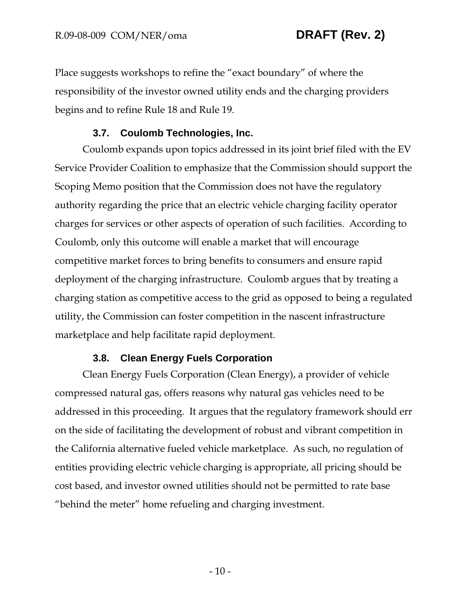Place suggests workshops to refine the "exact boundary" of where the responsibility of the investor owned utility ends and the charging providers begins and to refine Rule 18 and Rule 19.

### **3.7. Coulomb Technologies, Inc.**

Coulomb expands upon topics addressed in its joint brief filed with the EV Service Provider Coalition to emphasize that the Commission should support the Scoping Memo position that the Commission does not have the regulatory authority regarding the price that an electric vehicle charging facility operator charges for services or other aspects of operation of such facilities. According to Coulomb, only this outcome will enable a market that will encourage competitive market forces to bring benefits to consumers and ensure rapid deployment of the charging infrastructure. Coulomb argues that by treating a charging station as competitive access to the grid as opposed to being a regulated utility, the Commission can foster competition in the nascent infrastructure marketplace and help facilitate rapid deployment.

## **3.8. Clean Energy Fuels Corporation**

Clean Energy Fuels Corporation (Clean Energy), a provider of vehicle compressed natural gas, offers reasons why natural gas vehicles need to be addressed in this proceeding. It argues that the regulatory framework should err on the side of facilitating the development of robust and vibrant competition in the California alternative fueled vehicle marketplace. As such, no regulation of entities providing electric vehicle charging is appropriate, all pricing should be cost based, and investor owned utilities should not be permitted to rate base "behind the meter" home refueling and charging investment.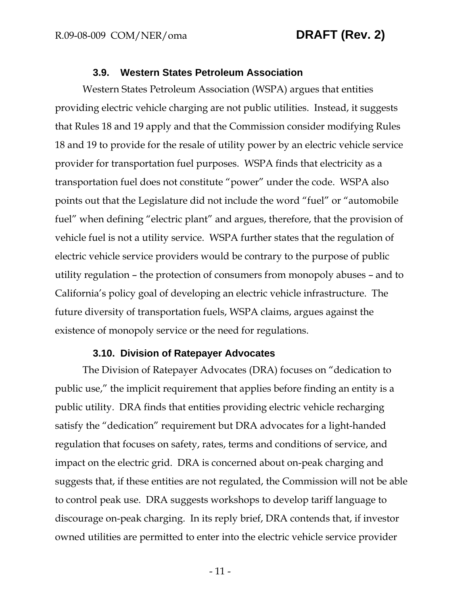### **3.9. Western States Petroleum Association**

Western States Petroleum Association (WSPA) argues that entities providing electric vehicle charging are not public utilities. Instead, it suggests that Rules 18 and 19 apply and that the Commission consider modifying Rules 18 and 19 to provide for the resale of utility power by an electric vehicle service provider for transportation fuel purposes. WSPA finds that electricity as a transportation fuel does not constitute "power" under the code. WSPA also points out that the Legislature did not include the word "fuel" or "automobile fuel" when defining "electric plant" and argues, therefore, that the provision of vehicle fuel is not a utility service. WSPA further states that the regulation of electric vehicle service providers would be contrary to the purpose of public utility regulation – the protection of consumers from monopoly abuses – and to California's policy goal of developing an electric vehicle infrastructure. The future diversity of transportation fuels, WSPA claims, argues against the existence of monopoly service or the need for regulations.

### **3.10. Division of Ratepayer Advocates**

The Division of Ratepayer Advocates (DRA) focuses on "dedication to public use," the implicit requirement that applies before finding an entity is a public utility. DRA finds that entities providing electric vehicle recharging satisfy the "dedication" requirement but DRA advocates for a light-handed regulation that focuses on safety, rates, terms and conditions of service, and impact on the electric grid. DRA is concerned about on-peak charging and suggests that, if these entities are not regulated, the Commission will not be able to control peak use. DRA suggests workshops to develop tariff language to discourage on-peak charging. In its reply brief, DRA contends that, if investor owned utilities are permitted to enter into the electric vehicle service provider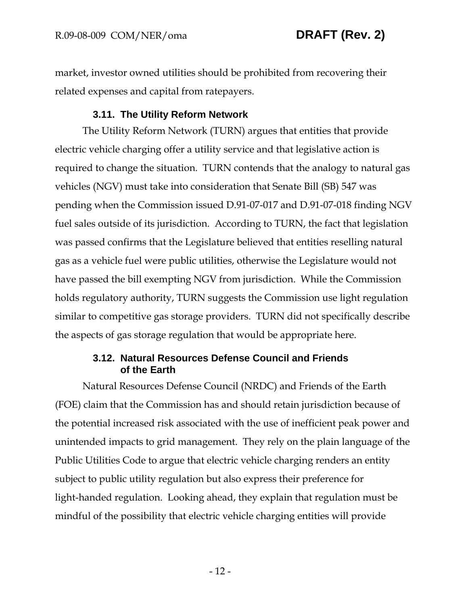market, investor owned utilities should be prohibited from recovering their related expenses and capital from ratepayers.

## **3.11. The Utility Reform Network**

The Utility Reform Network (TURN) argues that entities that provide electric vehicle charging offer a utility service and that legislative action is required to change the situation. TURN contends that the analogy to natural gas vehicles (NGV) must take into consideration that Senate Bill (SB) 547 was pending when the Commission issued D.91-07-017 and D.91-07-018 finding NGV fuel sales outside of its jurisdiction. According to TURN, the fact that legislation was passed confirms that the Legislature believed that entities reselling natural gas as a vehicle fuel were public utilities, otherwise the Legislature would not have passed the bill exempting NGV from jurisdiction. While the Commission holds regulatory authority, TURN suggests the Commission use light regulation similar to competitive gas storage providers. TURN did not specifically describe the aspects of gas storage regulation that would be appropriate here.

## **3.12. Natural Resources Defense Council and Friends of the Earth**

Natural Resources Defense Council (NRDC) and Friends of the Earth (FOE) claim that the Commission has and should retain jurisdiction because of the potential increased risk associated with the use of inefficient peak power and unintended impacts to grid management. They rely on the plain language of the Public Utilities Code to argue that electric vehicle charging renders an entity subject to public utility regulation but also express their preference for light-handed regulation. Looking ahead, they explain that regulation must be mindful of the possibility that electric vehicle charging entities will provide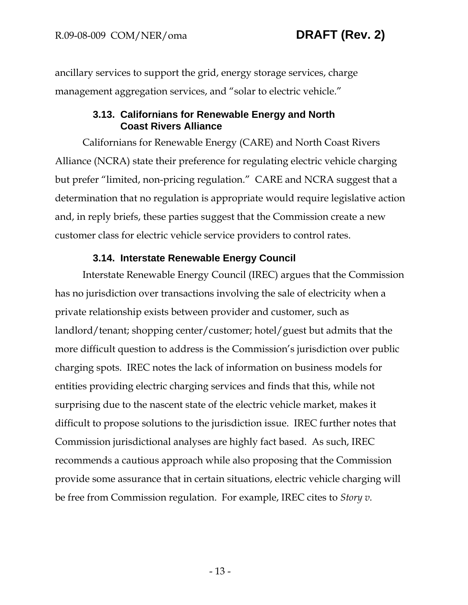ancillary services to support the grid, energy storage services, charge management aggregation services, and "solar to electric vehicle."

## **3.13. Californians for Renewable Energy and North Coast Rivers Alliance**

Californians for Renewable Energy (CARE) and North Coast Rivers Alliance (NCRA) state their preference for regulating electric vehicle charging but prefer "limited, non-pricing regulation." CARE and NCRA suggest that a determination that no regulation is appropriate would require legislative action and, in reply briefs, these parties suggest that the Commission create a new customer class for electric vehicle service providers to control rates.

## **3.14. Interstate Renewable Energy Council**

Interstate Renewable Energy Council (IREC) argues that the Commission has no jurisdiction over transactions involving the sale of electricity when a private relationship exists between provider and customer, such as landlord/tenant; shopping center/customer; hotel/guest but admits that the more difficult question to address is the Commission's jurisdiction over public charging spots. IREC notes the lack of information on business models for entities providing electric charging services and finds that this, while not surprising due to the nascent state of the electric vehicle market, makes it difficult to propose solutions to the jurisdiction issue. IREC further notes that Commission jurisdictional analyses are highly fact based. As such, IREC recommends a cautious approach while also proposing that the Commission provide some assurance that in certain situations, electric vehicle charging will be free from Commission regulation. For example, IREC cites to *Story v.*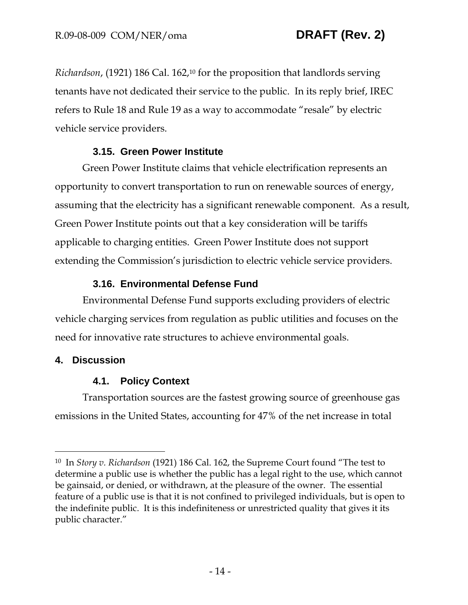*Richardson*, (1921) 186 Cal. 162,10 for the proposition that landlords serving tenants have not dedicated their service to the public. In its reply brief, IREC refers to Rule 18 and Rule 19 as a way to accommodate "resale" by electric vehicle service providers.

# **3.15. Green Power Institute**

Green Power Institute claims that vehicle electrification represents an opportunity to convert transportation to run on renewable sources of energy, assuming that the electricity has a significant renewable component. As a result, Green Power Institute points out that a key consideration will be tariffs applicable to charging entities. Green Power Institute does not support extending the Commission's jurisdiction to electric vehicle service providers.

# **3.16. Environmental Defense Fund**

Environmental Defense Fund supports excluding providers of electric vehicle charging services from regulation as public utilities and focuses on the need for innovative rate structures to achieve environmental goals.

# **4. Discussion**

-

# **4.1. Policy Context**

Transportation sources are the fastest growing source of greenhouse gas emissions in the United States, accounting for 47% of the net increase in total

<sup>10</sup> In *Story v. Richardson* (1921) 186 Cal. 162, the Supreme Court found "The test to determine a public use is whether the public has a legal right to the use, which cannot be gainsaid, or denied, or withdrawn, at the pleasure of the owner. The essential feature of a public use is that it is not confined to privileged individuals, but is open to the indefinite public. It is this indefiniteness or unrestricted quality that gives it its public character."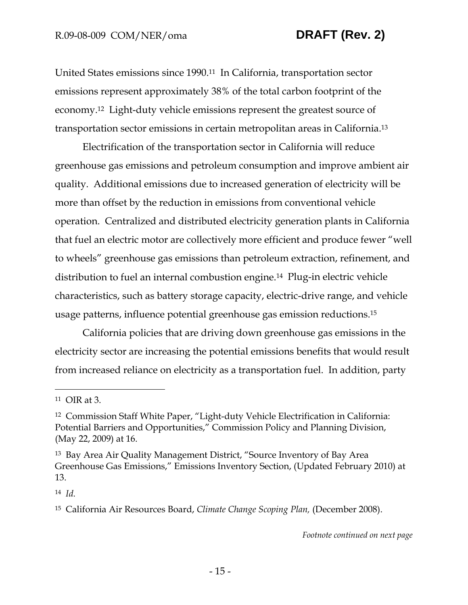United States emissions since 1990.11 In California, transportation sector emissions represent approximately 38% of the total carbon footprint of the economy.12 Light-duty vehicle emissions represent the greatest source of transportation sector emissions in certain metropolitan areas in California.13

Electrification of the transportation sector in California will reduce greenhouse gas emissions and petroleum consumption and improve ambient air quality. Additional emissions due to increased generation of electricity will be more than offset by the reduction in emissions from conventional vehicle operation. Centralized and distributed electricity generation plants in California that fuel an electric motor are collectively more efficient and produce fewer "well to wheels" greenhouse gas emissions than petroleum extraction, refinement, and distribution to fuel an internal combustion engine.14 Plug-in electric vehicle characteristics, such as battery storage capacity, electric-drive range, and vehicle usage patterns, influence potential greenhouse gas emission reductions.15

California policies that are driving down greenhouse gas emissions in the electricity sector are increasing the potential emissions benefits that would result from increased reliance on electricity as a transportation fuel. In addition, party

 $\overline{a}$ 

14 *Id.* 

*Footnote continued on next page*

<sup>11</sup> OIR at 3.

<sup>12</sup> Commission Staff White Paper, "Light-duty Vehicle Electrification in California: Potential Barriers and Opportunities," Commission Policy and Planning Division, (May 22, 2009) at 16.

<sup>13</sup> Bay Area Air Quality Management District, "Source Inventory of Bay Area Greenhouse Gas Emissions," Emissions Inventory Section, (Updated February 2010) at 13.

<sup>15</sup> California Air Resources Board, *Climate Change Scoping Plan,* (December 2008).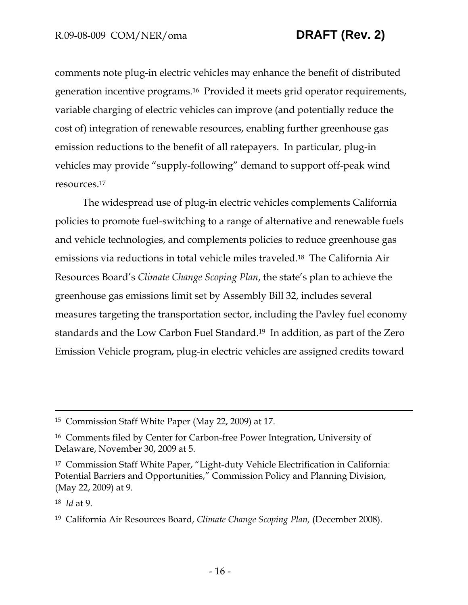comments note plug-in electric vehicles may enhance the benefit of distributed generation incentive programs.16 Provided it meets grid operator requirements, variable charging of electric vehicles can improve (and potentially reduce the cost of) integration of renewable resources, enabling further greenhouse gas emission reductions to the benefit of all ratepayers. In particular, plug-in vehicles may provide "supply-following" demand to support off-peak wind resources.17

The widespread use of plug-in electric vehicles complements California policies to promote fuel-switching to a range of alternative and renewable fuels and vehicle technologies, and complements policies to reduce greenhouse gas emissions via reductions in total vehicle miles traveled.18 The California Air Resources Board's *Climate Change Scoping Plan*, the state's plan to achieve the greenhouse gas emissions limit set by Assembly Bill 32, includes several measures targeting the transportation sector, including the Pavley fuel economy standards and the Low Carbon Fuel Standard.19 In addition, as part of the Zero Emission Vehicle program, plug-in electric vehicles are assigned credits toward

18 *Id* at 9.

 <sup>15</sup> Commission Staff White Paper (May 22, 2009) at 17.

<sup>16</sup> Comments filed by Center for Carbon-free Power Integration, University of Delaware, November 30, 2009 at 5.

<sup>17</sup> Commission Staff White Paper, "Light-duty Vehicle Electrification in California: Potential Barriers and Opportunities," Commission Policy and Planning Division, (May 22, 2009) at 9.

<sup>19</sup> California Air Resources Board, *Climate Change Scoping Plan,* (December 2008).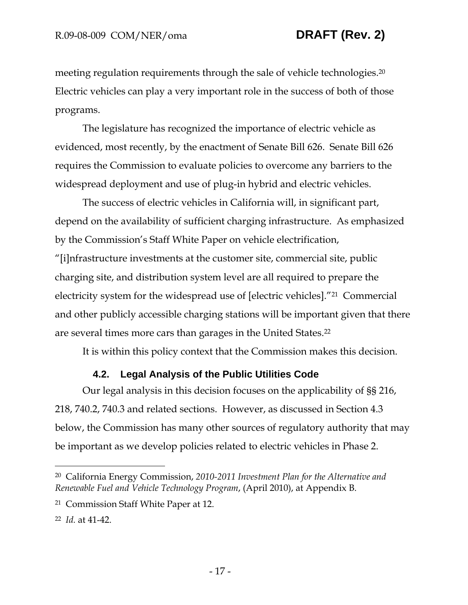meeting regulation requirements through the sale of vehicle technologies.<sup>20</sup> Electric vehicles can play a very important role in the success of both of those programs.

The legislature has recognized the importance of electric vehicle as evidenced, most recently, by the enactment of Senate Bill 626. Senate Bill 626 requires the Commission to evaluate policies to overcome any barriers to the widespread deployment and use of plug-in hybrid and electric vehicles.

The success of electric vehicles in California will, in significant part, depend on the availability of sufficient charging infrastructure. As emphasized by the Commission's Staff White Paper on vehicle electrification, "[i]nfrastructure investments at the customer site, commercial site, public charging site, and distribution system level are all required to prepare the electricity system for the widespread use of [electric vehicles]."21 Commercial and other publicly accessible charging stations will be important given that there are several times more cars than garages in the United States.22

It is within this policy context that the Commission makes this decision.

## **4.2. Legal Analysis of the Public Utilities Code**

Our legal analysis in this decision focuses on the applicability of §§ 216, 218, 740.2, 740.3 and related sections. However, as discussed in Section 4.3 below, the Commission has many other sources of regulatory authority that may be important as we develop policies related to electric vehicles in Phase 2.

-

<sup>20</sup> California Energy Commission, *2010-2011 Investment Plan for the Alternative and Renewable Fuel and Vehicle Technology Program*, (April 2010), at Appendix B.

<sup>21</sup> Commission Staff White Paper at 12.

<sup>22</sup> *Id.* at 41-42.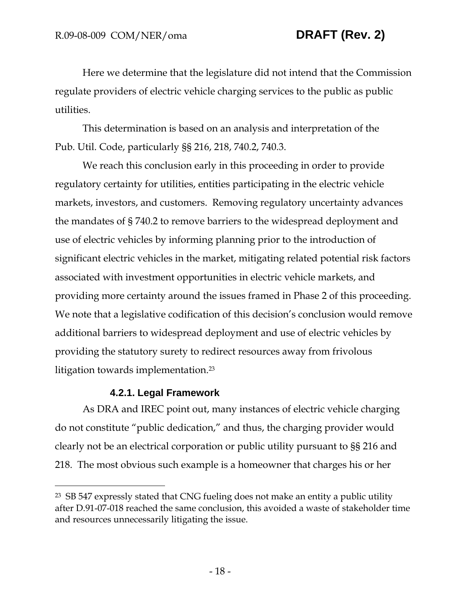Here we determine that the legislature did not intend that the Commission regulate providers of electric vehicle charging services to the public as public utilities.

This determination is based on an analysis and interpretation of the Pub. Util. Code, particularly §§ 216, 218, 740.2, 740.3.

We reach this conclusion early in this proceeding in order to provide regulatory certainty for utilities, entities participating in the electric vehicle markets, investors, and customers. Removing regulatory uncertainty advances the mandates of § 740.2 to remove barriers to the widespread deployment and use of electric vehicles by informing planning prior to the introduction of significant electric vehicles in the market, mitigating related potential risk factors associated with investment opportunities in electric vehicle markets, and providing more certainty around the issues framed in Phase 2 of this proceeding. We note that a legislative codification of this decision's conclusion would remove additional barriers to widespread deployment and use of electric vehicles by providing the statutory surety to redirect resources away from frivolous litigation towards implementation.23

## **4.2.1. Legal Framework**

-

As DRA and IREC point out, many instances of electric vehicle charging do not constitute "public dedication," and thus, the charging provider would clearly not be an electrical corporation or public utility pursuant to §§ 216 and 218. The most obvious such example is a homeowner that charges his or her

<sup>23</sup> SB 547 expressly stated that CNG fueling does not make an entity a public utility after D.91-07-018 reached the same conclusion, this avoided a waste of stakeholder time and resources unnecessarily litigating the issue.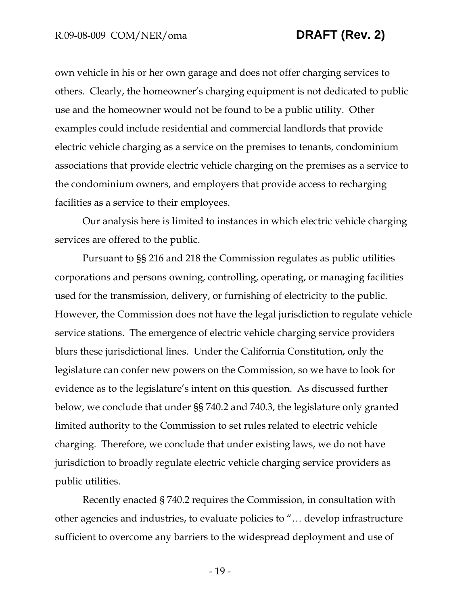own vehicle in his or her own garage and does not offer charging services to others. Clearly, the homeowner's charging equipment is not dedicated to public use and the homeowner would not be found to be a public utility. Other examples could include residential and commercial landlords that provide electric vehicle charging as a service on the premises to tenants, condominium associations that provide electric vehicle charging on the premises as a service to the condominium owners, and employers that provide access to recharging facilities as a service to their employees.

Our analysis here is limited to instances in which electric vehicle charging services are offered to the public.

Pursuant to §§ 216 and 218 the Commission regulates as public utilities corporations and persons owning, controlling, operating, or managing facilities used for the transmission, delivery, or furnishing of electricity to the public. However, the Commission does not have the legal jurisdiction to regulate vehicle service stations. The emergence of electric vehicle charging service providers blurs these jurisdictional lines. Under the California Constitution, only the legislature can confer new powers on the Commission, so we have to look for evidence as to the legislature's intent on this question. As discussed further below, we conclude that under §§ 740.2 and 740.3, the legislature only granted limited authority to the Commission to set rules related to electric vehicle charging. Therefore, we conclude that under existing laws, we do not have jurisdiction to broadly regulate electric vehicle charging service providers as public utilities.

Recently enacted § 740.2 requires the Commission, in consultation with other agencies and industries, to evaluate policies to "… develop infrastructure sufficient to overcome any barriers to the widespread deployment and use of

- 19 -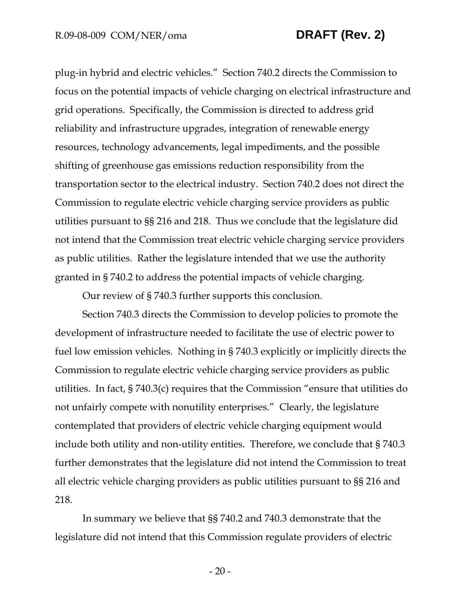plug-in hybrid and electric vehicles." Section 740.2 directs the Commission to focus on the potential impacts of vehicle charging on electrical infrastructure and grid operations. Specifically, the Commission is directed to address grid reliability and infrastructure upgrades, integration of renewable energy resources, technology advancements, legal impediments, and the possible shifting of greenhouse gas emissions reduction responsibility from the transportation sector to the electrical industry. Section 740.2 does not direct the Commission to regulate electric vehicle charging service providers as public utilities pursuant to §§ 216 and 218. Thus we conclude that the legislature did not intend that the Commission treat electric vehicle charging service providers as public utilities. Rather the legislature intended that we use the authority granted in § 740.2 to address the potential impacts of vehicle charging.

Our review of § 740.3 further supports this conclusion.

Section 740.3 directs the Commission to develop policies to promote the development of infrastructure needed to facilitate the use of electric power to fuel low emission vehicles. Nothing in § 740.3 explicitly or implicitly directs the Commission to regulate electric vehicle charging service providers as public utilities. In fact, § 740.3(c) requires that the Commission "ensure that utilities do not unfairly compete with nonutility enterprises." Clearly, the legislature contemplated that providers of electric vehicle charging equipment would include both utility and non-utility entities. Therefore, we conclude that § 740.3 further demonstrates that the legislature did not intend the Commission to treat all electric vehicle charging providers as public utilities pursuant to §§ 216 and 218.

In summary we believe that §§ 740.2 and 740.3 demonstrate that the legislature did not intend that this Commission regulate providers of electric

- 20 -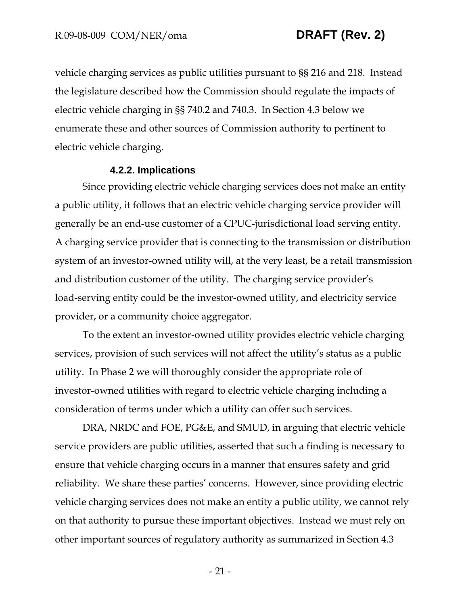vehicle charging services as public utilities pursuant to §§ 216 and 218. Instead the legislature described how the Commission should regulate the impacts of electric vehicle charging in §§ 740.2 and 740.3. In Section 4.3 below we enumerate these and other sources of Commission authority to pertinent to electric vehicle charging.

### **4.2.2. Implications**

Since providing electric vehicle charging services does not make an entity a public utility, it follows that an electric vehicle charging service provider will generally be an end-use customer of a CPUC-jurisdictional load serving entity. A charging service provider that is connecting to the transmission or distribution system of an investor-owned utility will, at the very least, be a retail transmission and distribution customer of the utility. The charging service provider's load-serving entity could be the investor-owned utility, and electricity service provider, or a community choice aggregator.

To the extent an investor-owned utility provides electric vehicle charging services, provision of such services will not affect the utility's status as a public utility. In Phase 2 we will thoroughly consider the appropriate role of investor-owned utilities with regard to electric vehicle charging including a consideration of terms under which a utility can offer such services.

DRA, NRDC and FOE, PG&E, and SMUD, in arguing that electric vehicle service providers are public utilities, asserted that such a finding is necessary to ensure that vehicle charging occurs in a manner that ensures safety and grid reliability. We share these parties' concerns. However, since providing electric vehicle charging services does not make an entity a public utility, we cannot rely on that authority to pursue these important objectives. Instead we must rely on other important sources of regulatory authority as summarized in Section 4.3

- 21 -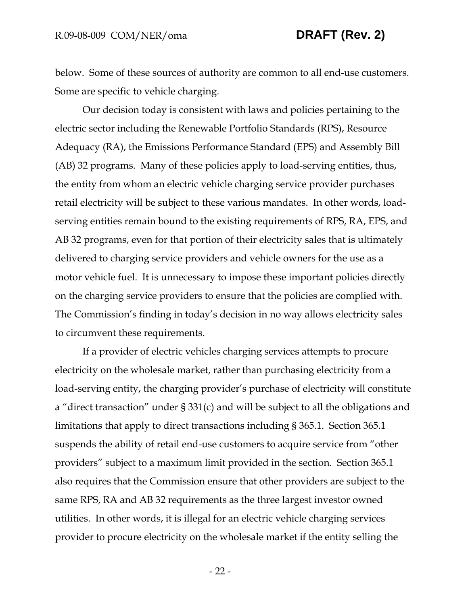below. Some of these sources of authority are common to all end-use customers. Some are specific to vehicle charging.

Our decision today is consistent with laws and policies pertaining to the electric sector including the Renewable Portfolio Standards (RPS), Resource Adequacy (RA), the Emissions Performance Standard (EPS) and Assembly Bill (AB) 32 programs. Many of these policies apply to load-serving entities, thus, the entity from whom an electric vehicle charging service provider purchases retail electricity will be subject to these various mandates. In other words, loadserving entities remain bound to the existing requirements of RPS, RA, EPS, and AB 32 programs, even for that portion of their electricity sales that is ultimately delivered to charging service providers and vehicle owners for the use as a motor vehicle fuel. It is unnecessary to impose these important policies directly on the charging service providers to ensure that the policies are complied with. The Commission's finding in today's decision in no way allows electricity sales to circumvent these requirements.

If a provider of electric vehicles charging services attempts to procure electricity on the wholesale market, rather than purchasing electricity from a load-serving entity, the charging provider's purchase of electricity will constitute a "direct transaction" under § 331(c) and will be subject to all the obligations and limitations that apply to direct transactions including § 365.1. Section 365.1 suspends the ability of retail end-use customers to acquire service from "other providers" subject to a maximum limit provided in the section. Section 365.1 also requires that the Commission ensure that other providers are subject to the same RPS, RA and AB 32 requirements as the three largest investor owned utilities. In other words, it is illegal for an electric vehicle charging services provider to procure electricity on the wholesale market if the entity selling the

- 22 -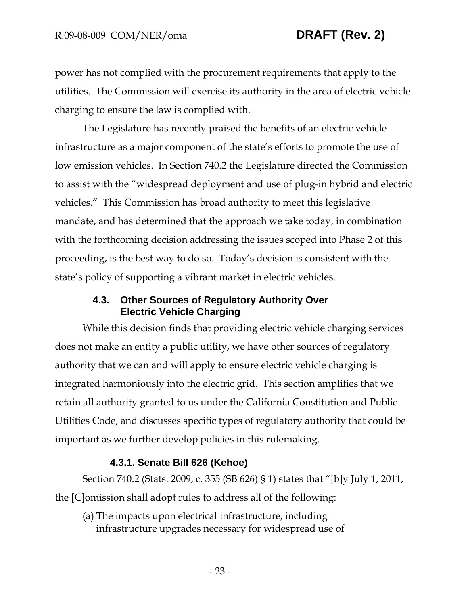power has not complied with the procurement requirements that apply to the utilities. The Commission will exercise its authority in the area of electric vehicle charging to ensure the law is complied with.

The Legislature has recently praised the benefits of an electric vehicle infrastructure as a major component of the state's efforts to promote the use of low emission vehicles. In Section 740.2 the Legislature directed the Commission to assist with the "widespread deployment and use of plug-in hybrid and electric vehicles." This Commission has broad authority to meet this legislative mandate, and has determined that the approach we take today, in combination with the forthcoming decision addressing the issues scoped into Phase 2 of this proceeding, is the best way to do so. Today's decision is consistent with the state's policy of supporting a vibrant market in electric vehicles.

## **4.3. Other Sources of Regulatory Authority Over Electric Vehicle Charging**

While this decision finds that providing electric vehicle charging services does not make an entity a public utility, we have other sources of regulatory authority that we can and will apply to ensure electric vehicle charging is integrated harmoniously into the electric grid. This section amplifies that we retain all authority granted to us under the California Constitution and Public Utilities Code, and discusses specific types of regulatory authority that could be important as we further develop policies in this rulemaking.

## **4.3.1. Senate Bill 626 (Kehoe)**

Section 740.2 (Stats. 2009, c. 355 (SB 626) § 1) states that "[b]y July 1, 2011, the [C]omission shall adopt rules to address all of the following:

(a) The impacts upon electrical infrastructure, including infrastructure upgrades necessary for widespread use of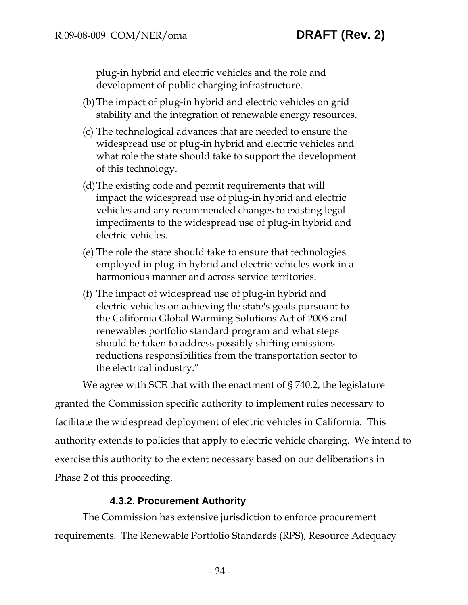plug-in hybrid and electric vehicles and the role and development of public charging infrastructure.

- (b) The impact of plug-in hybrid and electric vehicles on grid stability and the integration of renewable energy resources.
- (c) The technological advances that are needed to ensure the widespread use of plug-in hybrid and electric vehicles and what role the state should take to support the development of this technology.
- (d) The existing code and permit requirements that will impact the widespread use of plug-in hybrid and electric vehicles and any recommended changes to existing legal impediments to the widespread use of plug-in hybrid and electric vehicles.
- (e) The role the state should take to ensure that technologies employed in plug-in hybrid and electric vehicles work in a harmonious manner and across service territories.
- (f) The impact of widespread use of plug-in hybrid and electric vehicles on achieving the state's goals pursuant to the California Global Warming Solutions Act of 2006 and renewables portfolio standard program and what steps should be taken to address possibly shifting emissions reductions responsibilities from the transportation sector to the electrical industry."

We agree with SCE that with the enactment of § 740.2, the legislature

granted the Commission specific authority to implement rules necessary to facilitate the widespread deployment of electric vehicles in California. This authority extends to policies that apply to electric vehicle charging. We intend to exercise this authority to the extent necessary based on our deliberations in Phase 2 of this proceeding.

# **4.3.2. Procurement Authority**

The Commission has extensive jurisdiction to enforce procurement requirements. The Renewable Portfolio Standards (RPS), Resource Adequacy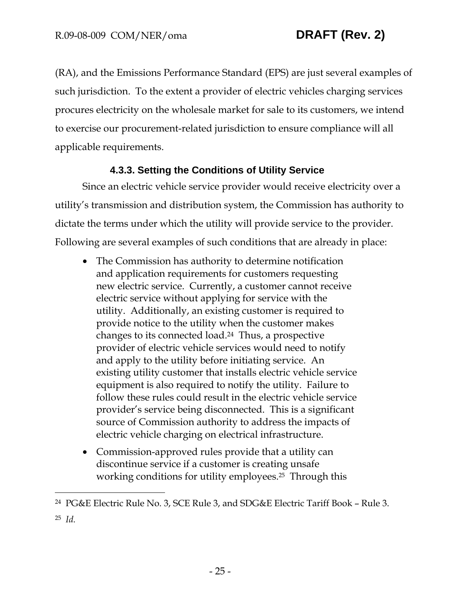-

(RA), and the Emissions Performance Standard (EPS) are just several examples of such jurisdiction. To the extent a provider of electric vehicles charging services procures electricity on the wholesale market for sale to its customers, we intend to exercise our procurement-related jurisdiction to ensure compliance will all applicable requirements.

# **4.3.3. Setting the Conditions of Utility Service**

Since an electric vehicle service provider would receive electricity over a utility's transmission and distribution system, the Commission has authority to dictate the terms under which the utility will provide service to the provider. Following are several examples of such conditions that are already in place:

- The Commission has authority to determine notification and application requirements for customers requesting new electric service. Currently, a customer cannot receive electric service without applying for service with the utility. Additionally, an existing customer is required to provide notice to the utility when the customer makes changes to its connected load.24 Thus, a prospective provider of electric vehicle services would need to notify and apply to the utility before initiating service. An existing utility customer that installs electric vehicle service equipment is also required to notify the utility. Failure to follow these rules could result in the electric vehicle service provider's service being disconnected. This is a significant source of Commission authority to address the impacts of electric vehicle charging on electrical infrastructure.
- Commission-approved rules provide that a utility can discontinue service if a customer is creating unsafe working conditions for utility employees.25 Through this

<sup>24</sup> PG&E Electric Rule No. 3, SCE Rule 3, and SDG&E Electric Tariff Book – Rule 3. 25 *Id.*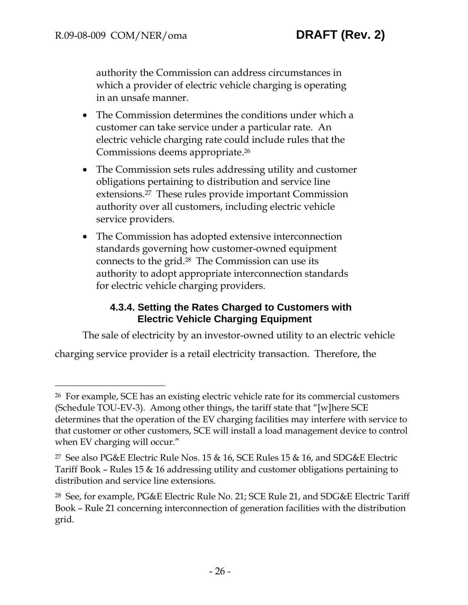-

authority the Commission can address circumstances in which a provider of electric vehicle charging is operating in an unsafe manner.

- The Commission determines the conditions under which a customer can take service under a particular rate. An electric vehicle charging rate could include rules that the Commissions deems appropriate.26
- The Commission sets rules addressing utility and customer obligations pertaining to distribution and service line extensions.27 These rules provide important Commission authority over all customers, including electric vehicle service providers.
- The Commission has adopted extensive interconnection standards governing how customer-owned equipment connects to the grid.28 The Commission can use its authority to adopt appropriate interconnection standards for electric vehicle charging providers.

# **4.3.4. Setting the Rates Charged to Customers with Electric Vehicle Charging Equipment**

The sale of electricity by an investor-owned utility to an electric vehicle

charging service provider is a retail electricity transaction. Therefore, the

<sup>26</sup> For example, SCE has an existing electric vehicle rate for its commercial customers (Schedule TOU-EV-3). Among other things, the tariff state that "[w]here SCE determines that the operation of the EV charging facilities may interfere with service to that customer or other customers, SCE will install a load management device to control when EV charging will occur."

<sup>27</sup> See also PG&E Electric Rule Nos. 15 & 16, SCE Rules 15 & 16, and SDG&E Electric Tariff Book – Rules 15 & 16 addressing utility and customer obligations pertaining to distribution and service line extensions.

<sup>28</sup> See, for example, PG&E Electric Rule No. 21; SCE Rule 21, and SDG&E Electric Tariff Book – Rule 21 concerning interconnection of generation facilities with the distribution grid.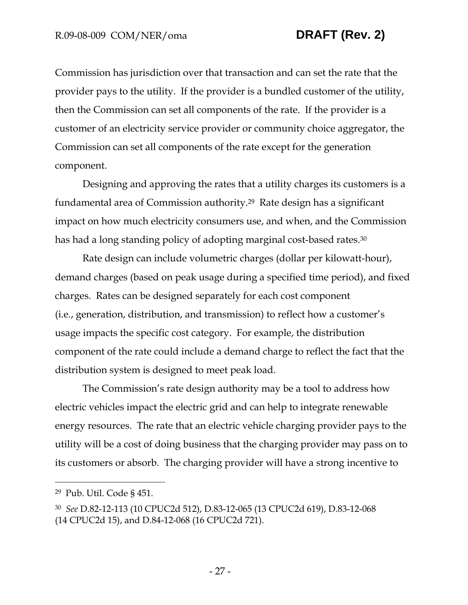Commission has jurisdiction over that transaction and can set the rate that the provider pays to the utility. If the provider is a bundled customer of the utility, then the Commission can set all components of the rate. If the provider is a customer of an electricity service provider or community choice aggregator, the Commission can set all components of the rate except for the generation component.

Designing and approving the rates that a utility charges its customers is a fundamental area of Commission authority.29 Rate design has a significant impact on how much electricity consumers use, and when, and the Commission has had a long standing policy of adopting marginal cost-based rates.<sup>30</sup>

Rate design can include volumetric charges (dollar per kilowatt-hour), demand charges (based on peak usage during a specified time period), and fixed charges. Rates can be designed separately for each cost component (i.e., generation, distribution, and transmission) to reflect how a customer's usage impacts the specific cost category. For example, the distribution component of the rate could include a demand charge to reflect the fact that the distribution system is designed to meet peak load.

The Commission's rate design authority may be a tool to address how electric vehicles impact the electric grid and can help to integrate renewable energy resources. The rate that an electric vehicle charging provider pays to the utility will be a cost of doing business that the charging provider may pass on to its customers or absorb. The charging provider will have a strong incentive to

-

<sup>29</sup> Pub. Util. Code § 451.

<sup>30</sup> *See* D.82-12-113 (10 CPUC2d 512), D.83-12-065 (13 CPUC2d 619), D.83-12-068 (14 CPUC2d 15), and D.84-12-068 (16 CPUC2d 721).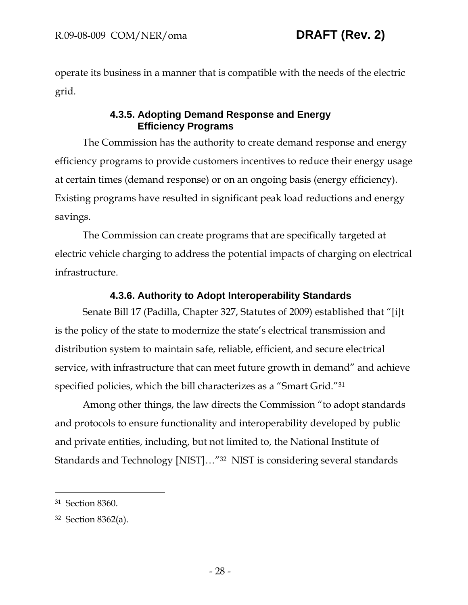operate its business in a manner that is compatible with the needs of the electric grid.

# **4.3.5. Adopting Demand Response and Energy Efficiency Programs**

The Commission has the authority to create demand response and energy efficiency programs to provide customers incentives to reduce their energy usage at certain times (demand response) or on an ongoing basis (energy efficiency). Existing programs have resulted in significant peak load reductions and energy savings.

The Commission can create programs that are specifically targeted at electric vehicle charging to address the potential impacts of charging on electrical infrastructure.

# **4.3.6. Authority to Adopt Interoperability Standards**

Senate Bill 17 (Padilla, Chapter 327, Statutes of 2009) established that "[i]t is the policy of the state to modernize the state's electrical transmission and distribution system to maintain safe, reliable, efficient, and secure electrical service, with infrastructure that can meet future growth in demand" and achieve specified policies, which the bill characterizes as a "Smart Grid."31

Among other things, the law directs the Commission "to adopt standards and protocols to ensure functionality and interoperability developed by public and private entities, including, but not limited to, the National Institute of Standards and Technology [NIST]…"32 NIST is considering several standards

 $\overline{a}$ 

<sup>31</sup> Section 8360.

<sup>32</sup> Section 8362(a).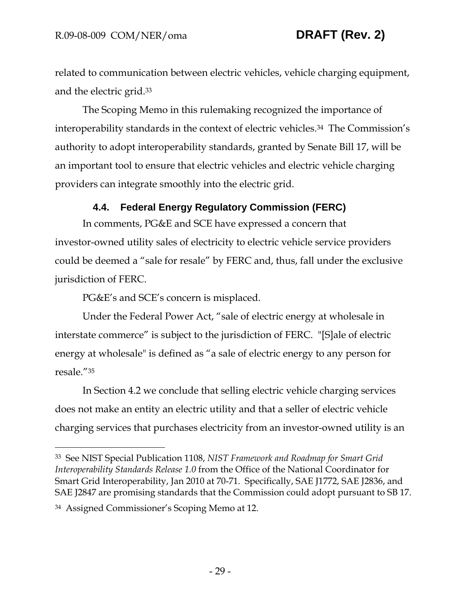related to communication between electric vehicles, vehicle charging equipment, and the electric grid.33

The Scoping Memo in this rulemaking recognized the importance of interoperability standards in the context of electric vehicles.34 The Commission's authority to adopt interoperability standards, granted by Senate Bill 17, will be an important tool to ensure that electric vehicles and electric vehicle charging providers can integrate smoothly into the electric grid.

# **4.4. Federal Energy Regulatory Commission (FERC)**

In comments, PG&E and SCE have expressed a concern that investor-owned utility sales of electricity to electric vehicle service providers could be deemed a "sale for resale" by FERC and, thus, fall under the exclusive jurisdiction of FERC.

PG&E's and SCE's concern is misplaced.

Under the Federal Power Act, "sale of electric energy at wholesale in interstate commerce" is subject to the jurisdiction of FERC. "[S]ale of electric energy at wholesale" is defined as "a sale of electric energy to any person for resale."35

In Section 4.2 we conclude that selling electric vehicle charging services does not make an entity an electric utility and that a seller of electric vehicle charging services that purchases electricity from an investor-owned utility is an

-

<sup>33</sup> See NIST Special Publication 1108, *NIST Framework and Roadmap for Smart Grid Interoperability Standards Release 1.0* from the Office of the National Coordinator for Smart Grid Interoperability, Jan 2010 at 70-71. Specifically, SAE J1772, SAE J2836, and SAE J2847 are promising standards that the Commission could adopt pursuant to SB 17.

<sup>34</sup> Assigned Commissioner's Scoping Memo at 12.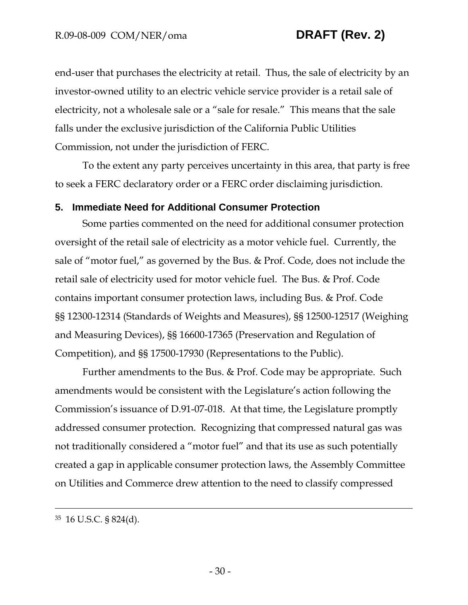end-user that purchases the electricity at retail. Thus, the sale of electricity by an investor-owned utility to an electric vehicle service provider is a retail sale of electricity, not a wholesale sale or a "sale for resale." This means that the sale falls under the exclusive jurisdiction of the California Public Utilities Commission, not under the jurisdiction of FERC.

To the extent any party perceives uncertainty in this area, that party is free to seek a FERC declaratory order or a FERC order disclaiming jurisdiction.

## **5. Immediate Need for Additional Consumer Protection**

Some parties commented on the need for additional consumer protection oversight of the retail sale of electricity as a motor vehicle fuel. Currently, the sale of "motor fuel," as governed by the Bus. & Prof. Code, does not include the retail sale of electricity used for motor vehicle fuel. The Bus. & Prof. Code contains important consumer protection laws, including Bus. & Prof. Code §§ 12300-12314 (Standards of Weights and Measures), §§ 12500-12517 (Weighing and Measuring Devices), §§ 16600-17365 (Preservation and Regulation of Competition), and §§ 17500-17930 (Representations to the Public).

Further amendments to the Bus. & Prof. Code may be appropriate. Such amendments would be consistent with the Legislature's action following the Commission's issuance of D.91-07-018. At that time, the Legislature promptly addressed consumer protection. Recognizing that compressed natural gas was not traditionally considered a "motor fuel" and that its use as such potentially created a gap in applicable consumer protection laws, the Assembly Committee on Utilities and Commerce drew attention to the need to classify compressed

 <sup>35 16</sup> U.S.C. § 824(d).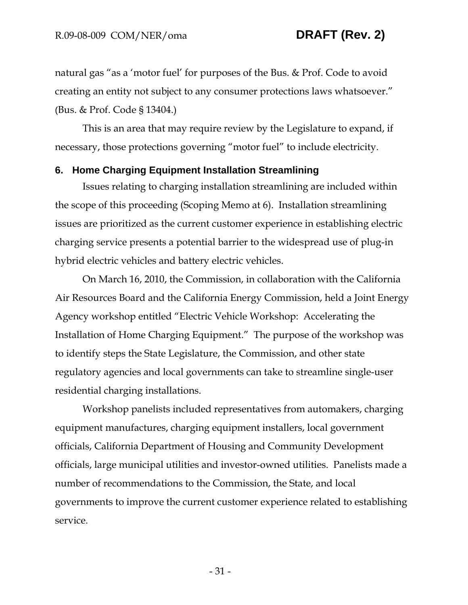natural gas "as a 'motor fuel' for purposes of the Bus. & Prof. Code to avoid creating an entity not subject to any consumer protections laws whatsoever." (Bus. & Prof. Code § 13404.)

This is an area that may require review by the Legislature to expand, if necessary, those protections governing "motor fuel" to include electricity.

### **6. Home Charging Equipment Installation Streamlining**

Issues relating to charging installation streamlining are included within the scope of this proceeding (Scoping Memo at 6). Installation streamlining issues are prioritized as the current customer experience in establishing electric charging service presents a potential barrier to the widespread use of plug-in hybrid electric vehicles and battery electric vehicles.

On March 16, 2010, the Commission, in collaboration with the California Air Resources Board and the California Energy Commission, held a Joint Energy Agency workshop entitled "Electric Vehicle Workshop: Accelerating the Installation of Home Charging Equipment." The purpose of the workshop was to identify steps the State Legislature, the Commission, and other state regulatory agencies and local governments can take to streamline single-user residential charging installations.

Workshop panelists included representatives from automakers, charging equipment manufactures, charging equipment installers, local government officials, California Department of Housing and Community Development officials, large municipal utilities and investor-owned utilities. Panelists made a number of recommendations to the Commission, the State, and local governments to improve the current customer experience related to establishing service.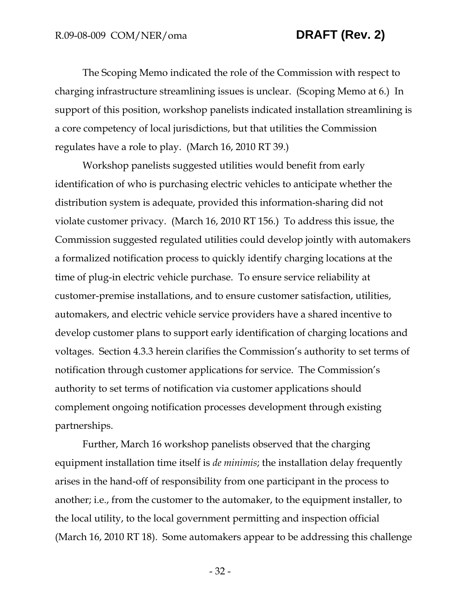The Scoping Memo indicated the role of the Commission with respect to charging infrastructure streamlining issues is unclear. (Scoping Memo at 6.) In support of this position, workshop panelists indicated installation streamlining is a core competency of local jurisdictions, but that utilities the Commission regulates have a role to play. (March 16, 2010 RT 39.)

Workshop panelists suggested utilities would benefit from early identification of who is purchasing electric vehicles to anticipate whether the distribution system is adequate, provided this information-sharing did not violate customer privacy. (March 16, 2010 RT 156.) To address this issue, the Commission suggested regulated utilities could develop jointly with automakers a formalized notification process to quickly identify charging locations at the time of plug-in electric vehicle purchase. To ensure service reliability at customer-premise installations, and to ensure customer satisfaction, utilities, automakers, and electric vehicle service providers have a shared incentive to develop customer plans to support early identification of charging locations and voltages. Section 4.3.3 herein clarifies the Commission's authority to set terms of notification through customer applications for service. The Commission's authority to set terms of notification via customer applications should complement ongoing notification processes development through existing partnerships.

Further, March 16 workshop panelists observed that the charging equipment installation time itself is *de minimis*; the installation delay frequently arises in the hand-off of responsibility from one participant in the process to another; i.e., from the customer to the automaker, to the equipment installer, to the local utility, to the local government permitting and inspection official (March 16, 2010 RT 18). Some automakers appear to be addressing this challenge

- 32 -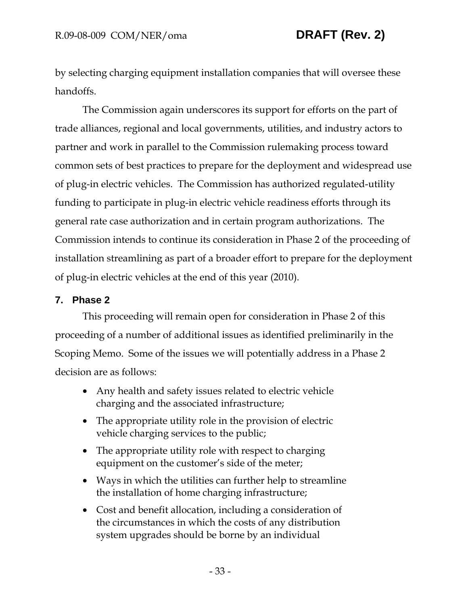by selecting charging equipment installation companies that will oversee these handoffs.

The Commission again underscores its support for efforts on the part of trade alliances, regional and local governments, utilities, and industry actors to partner and work in parallel to the Commission rulemaking process toward common sets of best practices to prepare for the deployment and widespread use of plug-in electric vehicles. The Commission has authorized regulated-utility funding to participate in plug-in electric vehicle readiness efforts through its general rate case authorization and in certain program authorizations. The Commission intends to continue its consideration in Phase 2 of the proceeding of installation streamlining as part of a broader effort to prepare for the deployment of plug-in electric vehicles at the end of this year (2010).

# **7. Phase 2**

This proceeding will remain open for consideration in Phase 2 of this proceeding of a number of additional issues as identified preliminarily in the Scoping Memo. Some of the issues we will potentially address in a Phase 2 decision are as follows:

- Any health and safety issues related to electric vehicle charging and the associated infrastructure;
- The appropriate utility role in the provision of electric vehicle charging services to the public;
- The appropriate utility role with respect to charging equipment on the customer's side of the meter;
- Ways in which the utilities can further help to streamline the installation of home charging infrastructure;
- Cost and benefit allocation, including a consideration of the circumstances in which the costs of any distribution system upgrades should be borne by an individual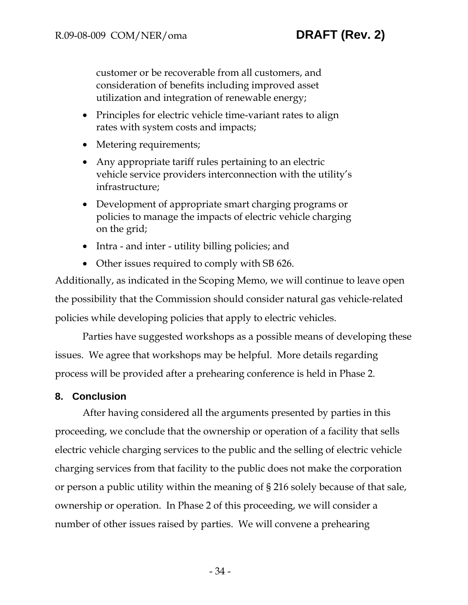customer or be recoverable from all customers, and consideration of benefits including improved asset utilization and integration of renewable energy;

- Principles for electric vehicle time-variant rates to align rates with system costs and impacts;
- Metering requirements;
- Any appropriate tariff rules pertaining to an electric vehicle service providers interconnection with the utility's infrastructure;
- Development of appropriate smart charging programs or policies to manage the impacts of electric vehicle charging on the grid;
- Intra and inter utility billing policies; and
- Other issues required to comply with SB 626.

Additionally, as indicated in the Scoping Memo, we will continue to leave open the possibility that the Commission should consider natural gas vehicle-related policies while developing policies that apply to electric vehicles.

Parties have suggested workshops as a possible means of developing these issues. We agree that workshops may be helpful. More details regarding process will be provided after a prehearing conference is held in Phase 2.

### **8. Conclusion**

After having considered all the arguments presented by parties in this proceeding, we conclude that the ownership or operation of a facility that sells electric vehicle charging services to the public and the selling of electric vehicle charging services from that facility to the public does not make the corporation or person a public utility within the meaning of § 216 solely because of that sale, ownership or operation. In Phase 2 of this proceeding, we will consider a number of other issues raised by parties. We will convene a prehearing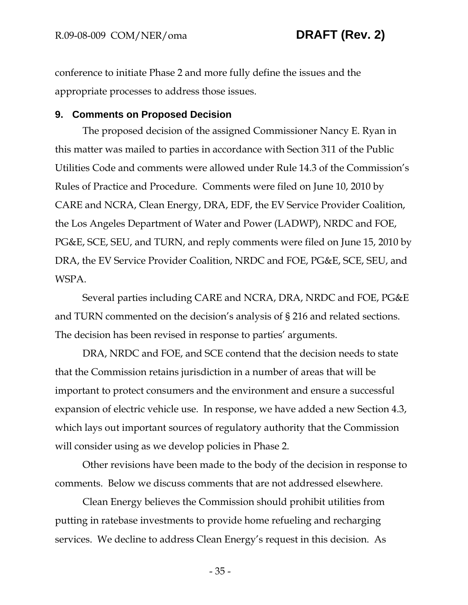conference to initiate Phase 2 and more fully define the issues and the appropriate processes to address those issues.

### **9. Comments on Proposed Decision**

The proposed decision of the assigned Commissioner Nancy E. Ryan in this matter was mailed to parties in accordance with Section 311 of the Public Utilities Code and comments were allowed under Rule 14.3 of the Commission's Rules of Practice and Procedure. Comments were filed on June 10, 2010 by CARE and NCRA, Clean Energy, DRA, EDF, the EV Service Provider Coalition, the Los Angeles Department of Water and Power (LADWP), NRDC and FOE, PG&E, SCE, SEU, and TURN, and reply comments were filed on June 15, 2010 by DRA, the EV Service Provider Coalition, NRDC and FOE, PG&E, SCE, SEU, and WSPA.

Several parties including CARE and NCRA, DRA, NRDC and FOE, PG&E and TURN commented on the decision's analysis of § 216 and related sections. The decision has been revised in response to parties' arguments.

DRA, NRDC and FOE, and SCE contend that the decision needs to state that the Commission retains jurisdiction in a number of areas that will be important to protect consumers and the environment and ensure a successful expansion of electric vehicle use. In response, we have added a new Section 4.3, which lays out important sources of regulatory authority that the Commission will consider using as we develop policies in Phase 2.

Other revisions have been made to the body of the decision in response to comments. Below we discuss comments that are not addressed elsewhere.

Clean Energy believes the Commission should prohibit utilities from putting in ratebase investments to provide home refueling and recharging services. We decline to address Clean Energy's request in this decision. As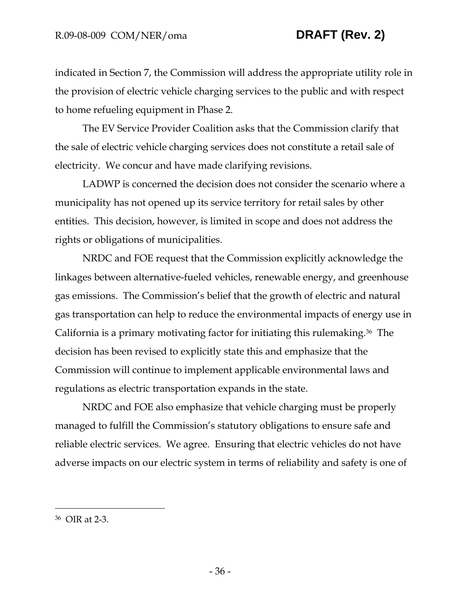indicated in Section 7, the Commission will address the appropriate utility role in the provision of electric vehicle charging services to the public and with respect to home refueling equipment in Phase 2.

The EV Service Provider Coalition asks that the Commission clarify that the sale of electric vehicle charging services does not constitute a retail sale of electricity. We concur and have made clarifying revisions.

LADWP is concerned the decision does not consider the scenario where a municipality has not opened up its service territory for retail sales by other entities. This decision, however, is limited in scope and does not address the rights or obligations of municipalities.

NRDC and FOE request that the Commission explicitly acknowledge the linkages between alternative-fueled vehicles, renewable energy, and greenhouse gas emissions. The Commission's belief that the growth of electric and natural gas transportation can help to reduce the environmental impacts of energy use in California is a primary motivating factor for initiating this rulemaking.36 The decision has been revised to explicitly state this and emphasize that the Commission will continue to implement applicable environmental laws and regulations as electric transportation expands in the state.

NRDC and FOE also emphasize that vehicle charging must be properly managed to fulfill the Commission's statutory obligations to ensure safe and reliable electric services. We agree. Ensuring that electric vehicles do not have adverse impacts on our electric system in terms of reliability and safety is one of

-

<sup>36</sup> OIR at 2-3.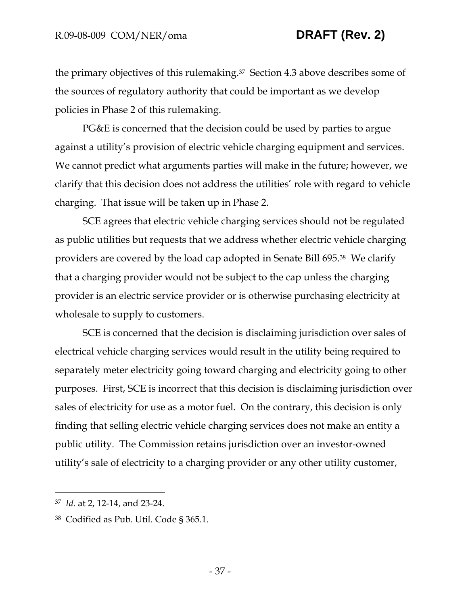the primary objectives of this rulemaking.37 Section 4.3 above describes some of the sources of regulatory authority that could be important as we develop policies in Phase 2 of this rulemaking.

PG&E is concerned that the decision could be used by parties to argue against a utility's provision of electric vehicle charging equipment and services. We cannot predict what arguments parties will make in the future; however, we clarify that this decision does not address the utilities' role with regard to vehicle charging. That issue will be taken up in Phase 2.

SCE agrees that electric vehicle charging services should not be regulated as public utilities but requests that we address whether electric vehicle charging providers are covered by the load cap adopted in Senate Bill 695.38 We clarify that a charging provider would not be subject to the cap unless the charging provider is an electric service provider or is otherwise purchasing electricity at wholesale to supply to customers.

SCE is concerned that the decision is disclaiming jurisdiction over sales of electrical vehicle charging services would result in the utility being required to separately meter electricity going toward charging and electricity going to other purposes. First, SCE is incorrect that this decision is disclaiming jurisdiction over sales of electricity for use as a motor fuel. On the contrary, this decision is only finding that selling electric vehicle charging services does not make an entity a public utility. The Commission retains jurisdiction over an investor-owned utility's sale of electricity to a charging provider or any other utility customer,

 $\overline{a}$ 

<sup>37</sup> *Id.* at 2, 12-14, and 23-24.

<sup>38</sup> Codified as Pub. Util. Code § 365.1.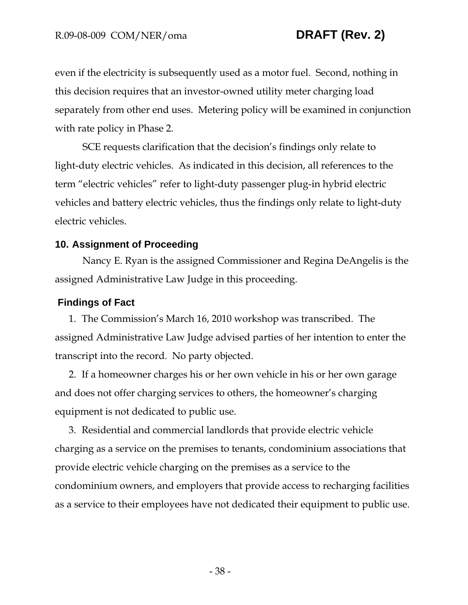even if the electricity is subsequently used as a motor fuel. Second, nothing in this decision requires that an investor-owned utility meter charging load separately from other end uses. Metering policy will be examined in conjunction with rate policy in Phase 2.

SCE requests clarification that the decision's findings only relate to light-duty electric vehicles. As indicated in this decision, all references to the term "electric vehicles" refer to light-duty passenger plug-in hybrid electric vehicles and battery electric vehicles, thus the findings only relate to light-duty electric vehicles.

## **10. Assignment of Proceeding**

Nancy E. Ryan is the assigned Commissioner and Regina DeAngelis is the assigned Administrative Law Judge in this proceeding.

### **Findings of Fact**

1. The Commission's March 16, 2010 workshop was transcribed. The assigned Administrative Law Judge advised parties of her intention to enter the transcript into the record. No party objected.

2. If a homeowner charges his or her own vehicle in his or her own garage and does not offer charging services to others, the homeowner's charging equipment is not dedicated to public use.

3. Residential and commercial landlords that provide electric vehicle charging as a service on the premises to tenants, condominium associations that provide electric vehicle charging on the premises as a service to the condominium owners, and employers that provide access to recharging facilities as a service to their employees have not dedicated their equipment to public use.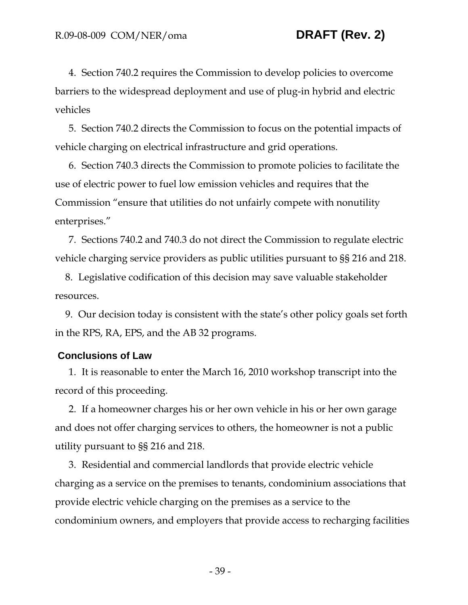4. Section 740.2 requires the Commission to develop policies to overcome barriers to the widespread deployment and use of plug-in hybrid and electric vehicles

5. Section 740.2 directs the Commission to focus on the potential impacts of vehicle charging on electrical infrastructure and grid operations.

6. Section 740.3 directs the Commission to promote policies to facilitate the use of electric power to fuel low emission vehicles and requires that the Commission "ensure that utilities do not unfairly compete with nonutility enterprises."

7. Sections 740.2 and 740.3 do not direct the Commission to regulate electric vehicle charging service providers as public utilities pursuant to §§ 216 and 218.

8. Legislative codification of this decision may save valuable stakeholder resources.

9. Our decision today is consistent with the state's other policy goals set forth in the RPS, RA, EPS, and the AB 32 programs.

### **Conclusions of Law**

1. It is reasonable to enter the March 16, 2010 workshop transcript into the record of this proceeding.

2. If a homeowner charges his or her own vehicle in his or her own garage and does not offer charging services to others, the homeowner is not a public utility pursuant to §§ 216 and 218.

3. Residential and commercial landlords that provide electric vehicle charging as a service on the premises to tenants, condominium associations that provide electric vehicle charging on the premises as a service to the condominium owners, and employers that provide access to recharging facilities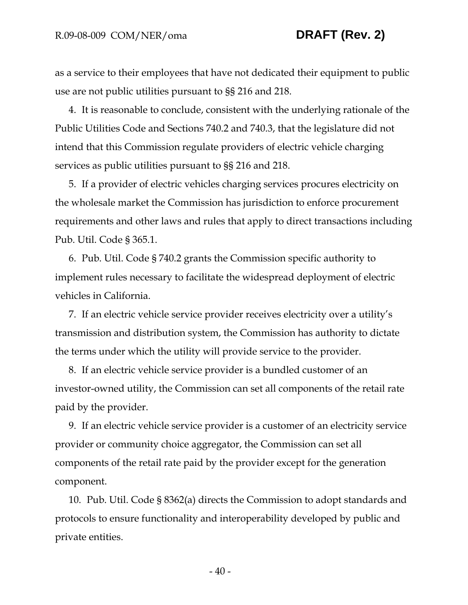as a service to their employees that have not dedicated their equipment to public use are not public utilities pursuant to §§ 216 and 218.

4. It is reasonable to conclude, consistent with the underlying rationale of the Public Utilities Code and Sections 740.2 and 740.3, that the legislature did not intend that this Commission regulate providers of electric vehicle charging services as public utilities pursuant to §§ 216 and 218.

5. If a provider of electric vehicles charging services procures electricity on the wholesale market the Commission has jurisdiction to enforce procurement requirements and other laws and rules that apply to direct transactions including Pub. Util. Code § 365.1.

6. Pub. Util. Code § 740.2 grants the Commission specific authority to implement rules necessary to facilitate the widespread deployment of electric vehicles in California.

7. If an electric vehicle service provider receives electricity over a utility's transmission and distribution system, the Commission has authority to dictate the terms under which the utility will provide service to the provider.

8. If an electric vehicle service provider is a bundled customer of an investor-owned utility, the Commission can set all components of the retail rate paid by the provider.

9. If an electric vehicle service provider is a customer of an electricity service provider or community choice aggregator, the Commission can set all components of the retail rate paid by the provider except for the generation component.

10. Pub. Util. Code § 8362(a) directs the Commission to adopt standards and protocols to ensure functionality and interoperability developed by public and private entities.

- 40 -